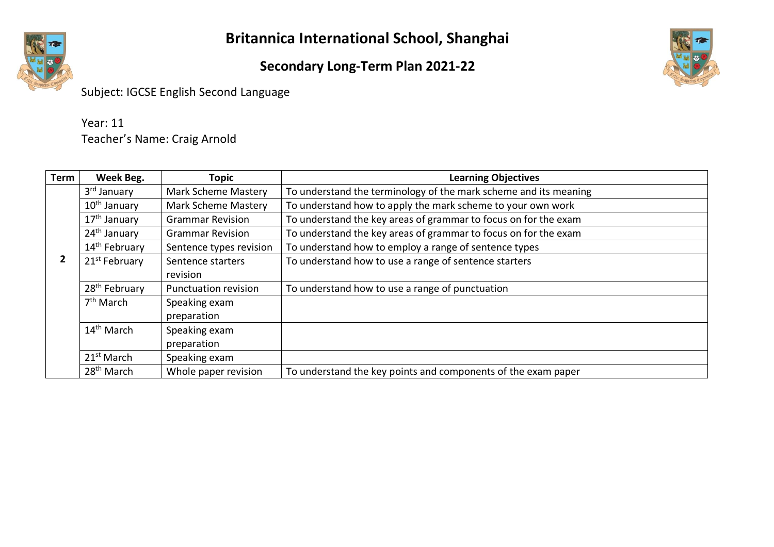#### **Secondary Long-Term Plan 2021-22**



Subject: IGCSE English Second Language

| Year: 11                     |
|------------------------------|
| Teacher's Name: Craig Arnold |

| <b>Term</b> | Week Beg.                 | <b>Topic</b>                | <b>Learning Objectives</b>                                       |
|-------------|---------------------------|-----------------------------|------------------------------------------------------------------|
|             | 3 <sup>rd</sup> January   | <b>Mark Scheme Mastery</b>  | To understand the terminology of the mark scheme and its meaning |
|             | 10 <sup>th</sup> January  | <b>Mark Scheme Mastery</b>  | To understand how to apply the mark scheme to your own work      |
|             | 17 <sup>th</sup> January  | <b>Grammar Revision</b>     | To understand the key areas of grammar to focus on for the exam  |
|             | 24 <sup>th</sup> January  | <b>Grammar Revision</b>     | To understand the key areas of grammar to focus on for the exam  |
|             | 14 <sup>th</sup> February | Sentence types revision     | To understand how to employ a range of sentence types            |
| 2           | 21 <sup>st</sup> February | Sentence starters           | To understand how to use a range of sentence starters            |
|             |                           | revision                    |                                                                  |
|             | 28 <sup>th</sup> February | <b>Punctuation revision</b> | To understand how to use a range of punctuation                  |
|             | $7th$ March               | Speaking exam               |                                                                  |
|             |                           | preparation                 |                                                                  |
|             | 14 <sup>th</sup> March    | Speaking exam               |                                                                  |
|             |                           | preparation                 |                                                                  |
|             | 21 <sup>st</sup> March    | Speaking exam               |                                                                  |
|             | 28 <sup>th</sup> March    | Whole paper revision        | To understand the key points and components of the exam paper    |

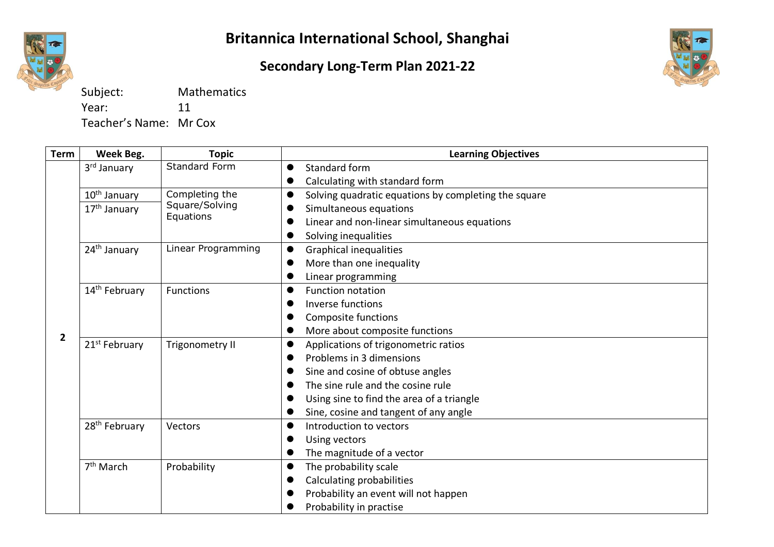

#### **Secondary Long-Term Plan 2021-22**



Subject: Mathematics Year: 11

Teacher's Name: Mr Cox

| <b>Term</b>    | Week Beg.                 | <b>Topic</b>       | <b>Learning Objectives</b>                                        |
|----------------|---------------------------|--------------------|-------------------------------------------------------------------|
|                | 3rd January               | Standard Form      | Standard form                                                     |
|                |                           |                    | Calculating with standard form<br>$\bullet$                       |
|                | 10 <sup>th</sup> January  | Completing the     | Solving quadratic equations by completing the square<br>$\bullet$ |
|                | 17 <sup>th</sup> January  | Square/Solving     | Simultaneous equations                                            |
|                |                           | Equations          | Linear and non-linear simultaneous equations                      |
|                |                           |                    | Solving inequalities<br>●                                         |
|                | 24 <sup>th</sup> January  | Linear Programming | <b>Graphical inequalities</b><br>$\bullet$                        |
|                |                           |                    | More than one inequality                                          |
|                |                           |                    | Linear programming                                                |
|                | 14 <sup>th</sup> February | <b>Functions</b>   | <b>Function notation</b><br>●                                     |
|                |                           |                    | Inverse functions                                                 |
|                |                           |                    | Composite functions                                               |
| $\overline{2}$ |                           |                    | More about composite functions                                    |
|                | 21 <sup>st</sup> February | Trigonometry II    | Applications of trigonometric ratios<br>$\bullet$                 |
|                |                           |                    | Problems in 3 dimensions<br>0                                     |
|                |                           |                    | Sine and cosine of obtuse angles                                  |
|                |                           |                    | The sine rule and the cosine rule<br>0                            |
|                |                           |                    | Using sine to find the area of a triangle                         |
|                |                           |                    | Sine, cosine and tangent of any angle<br>●                        |
|                | 28 <sup>th</sup> February | Vectors            | Introduction to vectors<br>0                                      |
|                |                           |                    | Using vectors                                                     |
|                |                           |                    | The magnitude of a vector<br>●                                    |
|                | 7 <sup>th</sup> March     | Probability        | The probability scale<br>$\bullet$                                |
|                |                           |                    | Calculating probabilities                                         |
|                |                           |                    | Probability an event will not happen                              |
|                |                           |                    | Probability in practise                                           |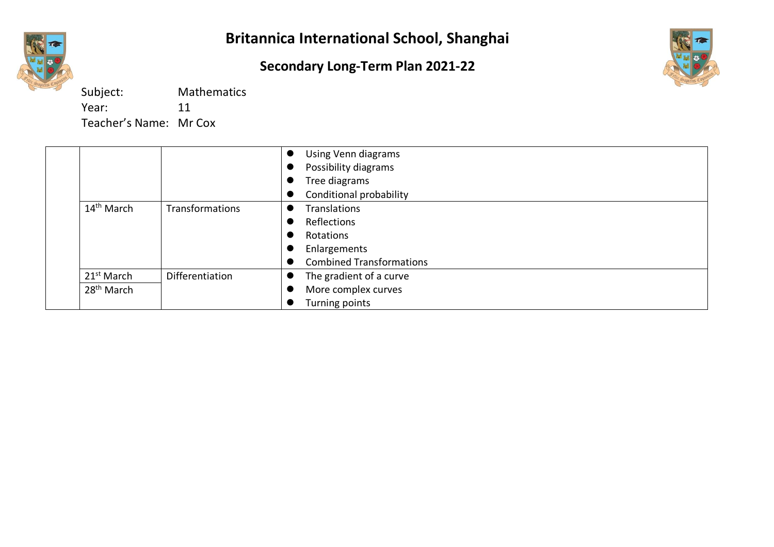

### **Secondary Long-Term Plan 2021-22**



Subject: Mathematics Year: 11 Teacher's Name: Mr Cox

|                        |                        | Using Venn diagrams             |
|------------------------|------------------------|---------------------------------|
|                        |                        | Possibility diagrams            |
|                        |                        | Tree diagrams<br>▼              |
|                        |                        | Conditional probability         |
| $14^{\text{th}}$ March | <b>Transformations</b> | <b>Translations</b>             |
|                        |                        | Reflections                     |
|                        |                        | Rotations                       |
|                        |                        | Enlargements                    |
|                        |                        | <b>Combined Transformations</b> |
| 21 <sup>st</sup> March | Differentiation        | The gradient of a curve         |
| 28 <sup>th</sup> March |                        | More complex curves             |
|                        |                        | Turning points                  |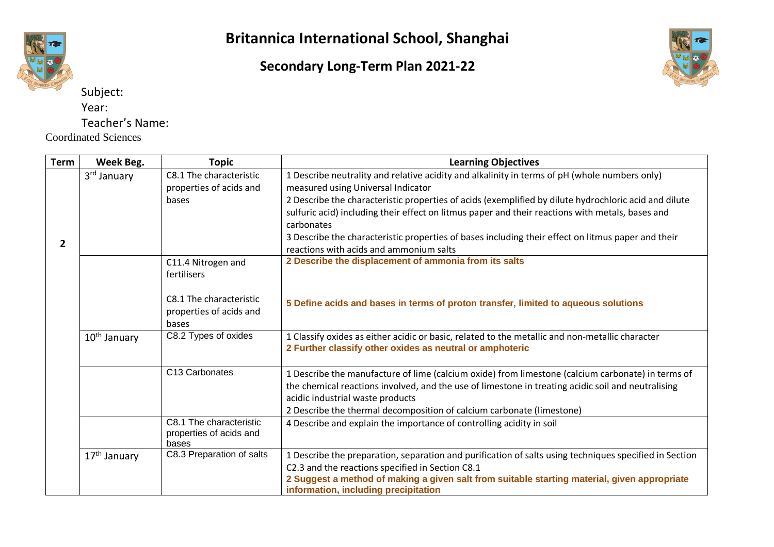

Subject: Year:

Coordinated Sciences

Teacher's Name:

**Britannica International School, Shanghai**

**Secondary Long-Term Plan 2021-22**



**Term Week Beg. Topic Learning Objectives 2** 3rd January C8.1 The characteristic properties of acids and bases 1 Describe neutrality and relative acidity and alkalinity in terms of pH (whole numbers only) measured using Universal Indicator 2 Describe the characteristic properties of acids (exemplified by dilute hydrochloric acid and dilute sulfuric acid) including their effect on litmus paper and their reactions with metals, bases and carbonates 3 Describe the characteristic properties of bases including their effect on litmus paper and their reactions with acids and ammonium salts C11.4 Nitrogen and fertilisers C8.1 The characteristic properties of acids and bases **2 Describe the displacement of ammonia from its salts 5 Define acids and bases in terms of proton transfer, limited to aqueous solutions**  $10<sup>th</sup>$  January  $\begin{array}{|l}$  C8.2 Types of oxides  $\begin{array}{|l} \hline \end{array}$  1 Classify oxides as either acidic or basic, related to the metallic and non-metallic character **2 Further classify other oxides as neutral or amphoteric** C13 Carbonates 1 Describe the manufacture of lime (calcium oxide) from limestone (calcium carbonate) in terms of the chemical reactions involved, and the use of limestone in treating acidic soil and neutralising acidic industrial waste products 2 Describe the thermal decomposition of calcium carbonate (limestone) C8.1 The characteristic properties of acids and bases 4 Describe and explain the importance of controlling acidity in soil  $17<sup>th</sup>$  January  $\vert$  C8.3 Preparation of salts  $\vert$  1 Describe the preparation, separation and purification of salts using techniques specified in Section C2.3 and the reactions specified in Section C8.1 **2 Suggest a method of making a given salt from suitable starting material, given appropriate information, including precipitation**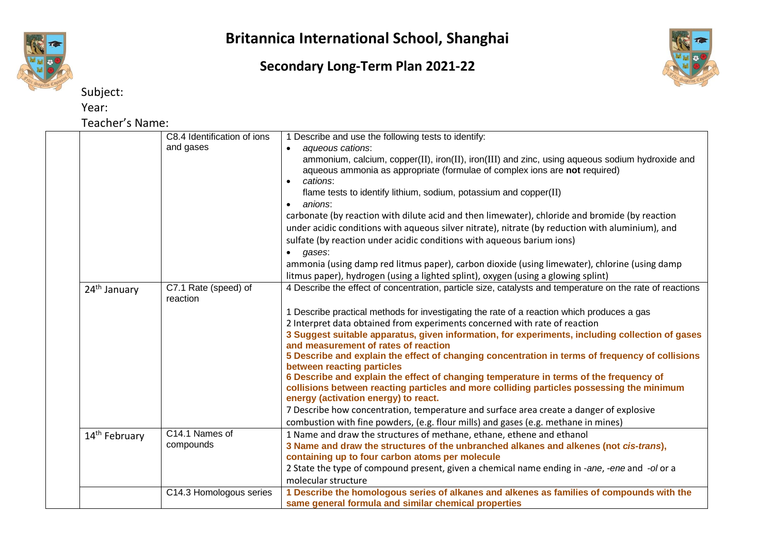

Subject:

Year:

Teacher's Name:

#### C8.4 Identification of ions and gases 1 Describe and use the following tests to identify: • *aqueous cations*: ammonium, calcium, copper(II), iron(II), iron(III) and zinc, using aqueous sodium hydroxide and aqueous ammonia as appropriate (formulae of complex ions are **not** required) • *cations*: flame tests to identify lithium, sodium, potassium and copper(II) • *anions*: carbonate (by reaction with dilute acid and then limewater), chloride and bromide (by reaction under acidic conditions with aqueous silver nitrate), nitrate (by reduction with aluminium), and sulfate (by reaction under acidic conditions with aqueous barium ions) • *gases*: ammonia (using damp red litmus paper), carbon dioxide (using limewater), chlorine (using damp litmus paper), hydrogen (using a lighted splint), oxygen (using a glowing splint)  $24<sup>th</sup>$  January  $\vert$  C7.1 Rate (speed) of reaction 4 Describe the effect of concentration, particle size, catalysts and temperature on the rate of reactions 1 Describe practical methods for investigating the rate of a reaction which produces a gas 2 Interpret data obtained from experiments concerned with rate of reaction **3 Suggest suitable apparatus, given information, for experiments, including collection of gases and measurement of rates of reaction 5 Describe and explain the effect of changing concentration in terms of frequency of collisions between reacting particles 6 Describe and explain the effect of changing temperature in terms of the frequency of collisions between reacting particles and more colliding particles possessing the minimum energy (activation energy) to react.** 7 Describe how concentration, temperature and surface area create a danger of explosive combustion with fine powders, (e.g. flour mills) and gases (e.g. methane in mines) 14<sup>th</sup> February C14.1 Names of compounds 1 Name and draw the structures of methane, ethane, ethene and ethanol **3 Name and draw the structures of the unbranched alkanes and alkenes (not** *cis-trans***), containing up to four carbon atoms per molecule** 2 State the type of compound present, given a chemical name ending in -*ane*, *-ene* and *-ol* or a molecular structure C14.3 Homologous series **1 Describe the homologous series of alkanes and alkenes as families of compounds with the**

**same general formula and similar chemical properties**

**Britannica International School, Shanghai**

#### **Secondary Long-Term Plan 2021-22**

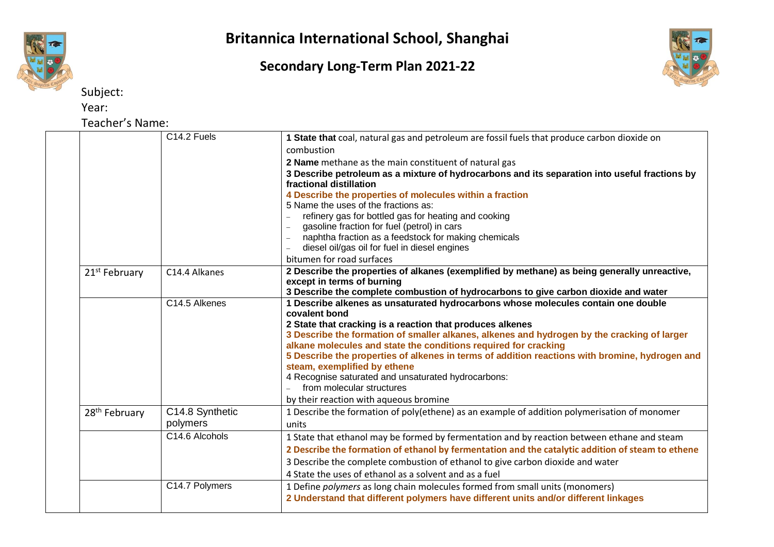

## **Secondary Long-Term Plan 2021-22**



Subject:

Year:

Teacher's Name:

|                           | C14.2 Fuels     | 1 State that coal, natural gas and petroleum are fossil fuels that produce carbon dioxide on                      |
|---------------------------|-----------------|-------------------------------------------------------------------------------------------------------------------|
|                           |                 | combustion                                                                                                        |
|                           |                 | 2 Name methane as the main constituent of natural gas                                                             |
|                           |                 | 3 Describe petroleum as a mixture of hydrocarbons and its separation into useful fractions by                     |
|                           |                 | fractional distillation                                                                                           |
|                           |                 | 4 Describe the properties of molecules within a fraction                                                          |
|                           |                 | 5 Name the uses of the fractions as:                                                                              |
|                           |                 | refinery gas for bottled gas for heating and cooking                                                              |
|                           |                 | gasoline fraction for fuel (petrol) in cars                                                                       |
|                           |                 | naphtha fraction as a feedstock for making chemicals<br>$\equiv$                                                  |
|                           |                 | diesel oil/gas oil for fuel in diesel engines                                                                     |
|                           |                 | bitumen for road surfaces                                                                                         |
| 21 <sup>st</sup> February | C14.4 Alkanes   | 2 Describe the properties of alkanes (exemplified by methane) as being generally unreactive,                      |
|                           |                 | except in terms of burning<br>3 Describe the complete combustion of hydrocarbons to give carbon dioxide and water |
|                           | C14.5 Alkenes   | 1 Describe alkenes as unsaturated hydrocarbons whose molecules contain one double                                 |
|                           |                 | covalent bond                                                                                                     |
|                           |                 | 2 State that cracking is a reaction that produces alkenes                                                         |
|                           |                 | 3 Describe the formation of smaller alkanes, alkenes and hydrogen by the cracking of larger                       |
|                           |                 | alkane molecules and state the conditions required for cracking                                                   |
|                           |                 | 5 Describe the properties of alkenes in terms of addition reactions with bromine, hydrogen and                    |
|                           |                 | steam, exemplified by ethene                                                                                      |
|                           |                 | 4 Recognise saturated and unsaturated hydrocarbons:                                                               |
|                           |                 | from molecular structures                                                                                         |
|                           |                 | by their reaction with aqueous bromine                                                                            |
| 28 <sup>th</sup> February | C14.8 Synthetic | 1 Describe the formation of poly(ethene) as an example of addition polymerisation of monomer                      |
|                           | polymers        | units                                                                                                             |
|                           | C14.6 Alcohols  | 1 State that ethanol may be formed by fermentation and by reaction between ethane and steam                       |
|                           |                 | 2 Describe the formation of ethanol by fermentation and the catalytic addition of steam to ethene                 |
|                           |                 | 3 Describe the complete combustion of ethanol to give carbon dioxide and water                                    |
|                           |                 | 4 State the uses of ethanol as a solvent and as a fuel                                                            |
|                           | C14.7 Polymers  | 1 Define polymers as long chain molecules formed from small units (monomers)                                      |
|                           |                 | 2 Understand that different polymers have different units and/or different linkages                               |
|                           |                 |                                                                                                                   |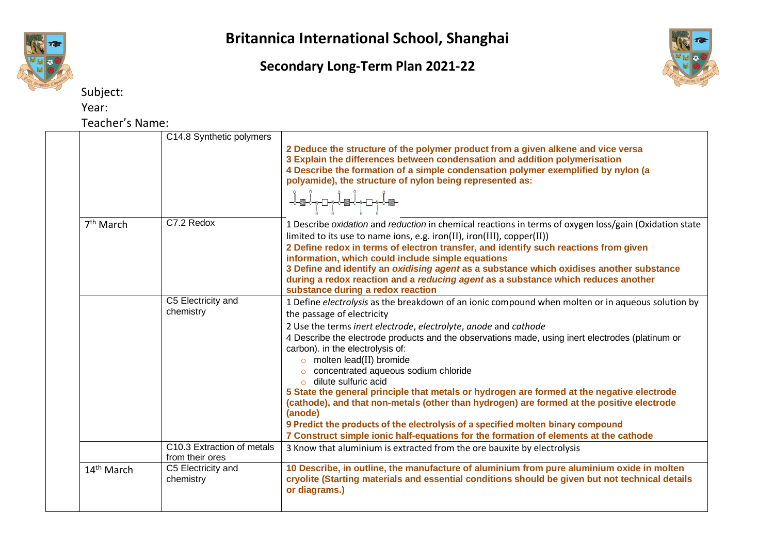

## **Secondary Long-Term Plan 2021-22**



Subject:

Year:

Teacher's Name:

|  |                        | C14.8 Synthetic polymers                      |                                                                                                                                                                                                                                                                                                                 |
|--|------------------------|-----------------------------------------------|-----------------------------------------------------------------------------------------------------------------------------------------------------------------------------------------------------------------------------------------------------------------------------------------------------------------|
|  |                        |                                               | 2 Deduce the structure of the polymer product from a given alkene and vice versa<br>3 Explain the differences between condensation and addition polymerisation<br>4 Describe the formation of a simple condensation polymer exemplified by nylon (a<br>polyamide), the structure of nylon being represented as: |
|  |                        |                                               |                                                                                                                                                                                                                                                                                                                 |
|  | 7 <sup>th</sup> March  | C7.2 Redox                                    | 1 Describe oxidation and reduction in chemical reactions in terms of oxygen loss/gain (Oxidation state                                                                                                                                                                                                          |
|  |                        |                                               | limited to its use to name ions, e.g. iron(II), iron(III), copper(II))                                                                                                                                                                                                                                          |
|  |                        |                                               | 2 Define redox in terms of electron transfer, and identify such reactions from given                                                                                                                                                                                                                            |
|  |                        |                                               | information, which could include simple equations                                                                                                                                                                                                                                                               |
|  |                        |                                               | 3 Define and identify an oxidising agent as a substance which oxidises another substance                                                                                                                                                                                                                        |
|  |                        |                                               | during a redox reaction and a reducing agent as a substance which reduces another<br>substance during a redox reaction                                                                                                                                                                                          |
|  |                        | C5 Electricity and                            | 1 Define electrolysis as the breakdown of an ionic compound when molten or in aqueous solution by                                                                                                                                                                                                               |
|  | chemistry              |                                               | the passage of electricity                                                                                                                                                                                                                                                                                      |
|  |                        |                                               | 2 Use the terms inert electrode, electrolyte, anode and cathode                                                                                                                                                                                                                                                 |
|  |                        |                                               | 4 Describe the electrode products and the observations made, using inert electrodes (platinum or                                                                                                                                                                                                                |
|  |                        |                                               | carbon). in the electrolysis of:                                                                                                                                                                                                                                                                                |
|  |                        |                                               | $\circ$ molten lead(II) bromide                                                                                                                                                                                                                                                                                 |
|  |                        |                                               | concentrated aqueous sodium chloride                                                                                                                                                                                                                                                                            |
|  |                        |                                               | $\circ$ dilute sulfuric acid                                                                                                                                                                                                                                                                                    |
|  |                        |                                               | 5 State the general principle that metals or hydrogen are formed at the negative electrode                                                                                                                                                                                                                      |
|  |                        |                                               | (cathode), and that non-metals (other than hydrogen) are formed at the positive electrode<br>(anode)                                                                                                                                                                                                            |
|  |                        |                                               | 9 Predict the products of the electrolysis of a specified molten binary compound                                                                                                                                                                                                                                |
|  |                        |                                               | 7 Construct simple ionic half-equations for the formation of elements at the cathode                                                                                                                                                                                                                            |
|  |                        | C10.3 Extraction of metals<br>from their ores | 3 Know that aluminium is extracted from the ore bauxite by electrolysis                                                                                                                                                                                                                                         |
|  | 14 <sup>th</sup> March | C5 Electricity and<br>chemistry               | 10 Describe, in outline, the manufacture of aluminium from pure aluminium oxide in molten<br>cryolite (Starting materials and essential conditions should be given but not technical details<br>or diagrams.)                                                                                                   |
|  |                        |                                               |                                                                                                                                                                                                                                                                                                                 |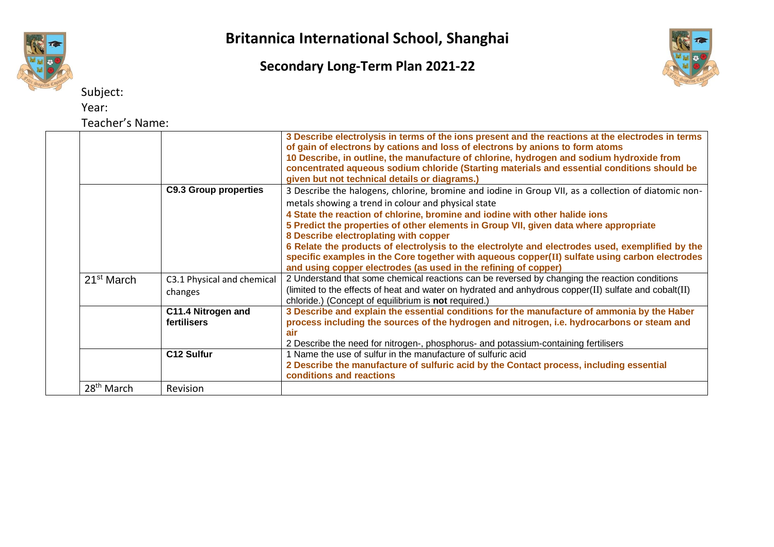

Subject:

Year:

Teacher's Name:

# **Britannica International School, Shanghai**

#### **Secondary Long-Term Plan 2021-22**



| CUCILIC JIVOIIIC       |                                       |                                                                                                                                                                                                                                                                                                                                                                                                                                                                                                                                                                                    |
|------------------------|---------------------------------------|------------------------------------------------------------------------------------------------------------------------------------------------------------------------------------------------------------------------------------------------------------------------------------------------------------------------------------------------------------------------------------------------------------------------------------------------------------------------------------------------------------------------------------------------------------------------------------|
|                        |                                       | 3 Describe electrolysis in terms of the ions present and the reactions at the electrodes in terms<br>of gain of electrons by cations and loss of electrons by anions to form atoms<br>10 Describe, in outline, the manufacture of chlorine, hydrogen and sodium hydroxide from<br>concentrated aqueous sodium chloride (Starting materials and essential conditions should be<br>given but not technical details or diagrams.)                                                                                                                                                     |
|                        | <b>C9.3 Group properties</b>          | 3 Describe the halogens, chlorine, bromine and iodine in Group VII, as a collection of diatomic non-<br>metals showing a trend in colour and physical state<br>4 State the reaction of chlorine, bromine and iodine with other halide ions<br>5 Predict the properties of other elements in Group VII, given data where appropriate<br>8 Describe electroplating with copper<br>6 Relate the products of electrolysis to the electrolyte and electrodes used, exemplified by the<br>specific examples in the Core together with aqueous copper(II) sulfate using carbon electrodes |
| 21 <sup>st</sup> March | C3.1 Physical and chemical<br>changes | and using copper electrodes (as used in the refining of copper)<br>2 Understand that some chemical reactions can be reversed by changing the reaction conditions<br>(limited to the effects of heat and water on hydrated and anhydrous copper(II) sulfate and cobalt(II)<br>chloride.) (Concept of equilibrium is not required.)                                                                                                                                                                                                                                                  |
|                        | C11.4 Nitrogen and<br>fertilisers     | 3 Describe and explain the essential conditions for the manufacture of ammonia by the Haber<br>process including the sources of the hydrogen and nitrogen, i.e. hydrocarbons or steam and<br><b>air</b><br>2 Describe the need for nitrogen-, phosphorus- and potassium-containing fertilisers                                                                                                                                                                                                                                                                                     |
|                        | C12 Sulfur                            | 1 Name the use of sulfur in the manufacture of sulfuric acid<br>2 Describe the manufacture of sulfuric acid by the Contact process, including essential<br>conditions and reactions                                                                                                                                                                                                                                                                                                                                                                                                |
| 28 <sup>th</sup> March | Revision                              |                                                                                                                                                                                                                                                                                                                                                                                                                                                                                                                                                                                    |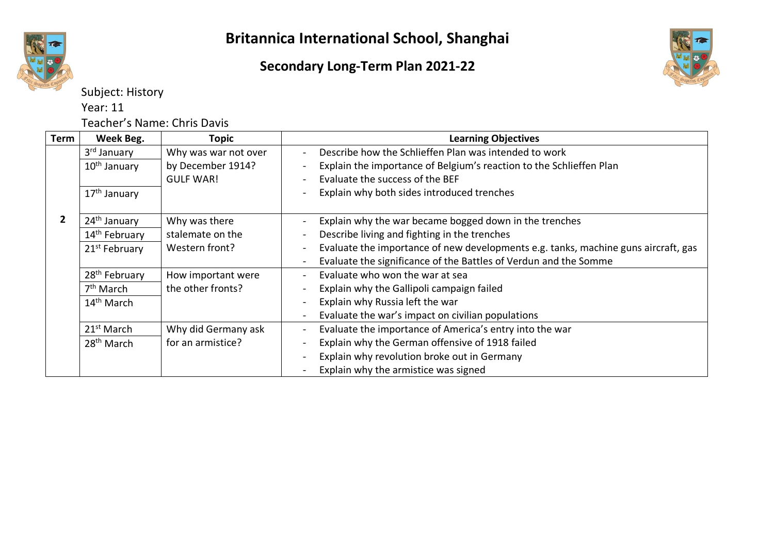





Subject: History Year: 11

Teacher's Name: Chris Davis

| <b>Term</b> | Week Beg.                 | Topic                | <b>Learning Objectives</b>                                                         |
|-------------|---------------------------|----------------------|------------------------------------------------------------------------------------|
|             | 3 <sup>rd</sup> January   | Why was war not over | Describe how the Schlieffen Plan was intended to work                              |
|             | 10 <sup>th</sup> January  | by December 1914?    | Explain the importance of Belgium's reaction to the Schlieffen Plan                |
|             |                           | <b>GULF WAR!</b>     | Evaluate the success of the BEF                                                    |
|             | 17 <sup>th</sup> January  |                      | Explain why both sides introduced trenches                                         |
|             | 24 <sup>th</sup> January  | Why was there        | Explain why the war became bogged down in the trenches                             |
|             | 14 <sup>th</sup> February | stalemate on the     | Describe living and fighting in the trenches                                       |
|             | 21 <sup>st</sup> February | Western front?       | Evaluate the importance of new developments e.g. tanks, machine guns aircraft, gas |
|             |                           |                      | Evaluate the significance of the Battles of Verdun and the Somme                   |
|             | 28 <sup>th</sup> February | How important were   | Evaluate who won the war at sea                                                    |
|             | 7 <sup>th</sup> March     | the other fronts?    | Explain why the Gallipoli campaign failed                                          |
|             | 14 <sup>th</sup> March    |                      | Explain why Russia left the war                                                    |
|             |                           |                      | Evaluate the war's impact on civilian populations                                  |
|             | 21 <sup>st</sup> March    | Why did Germany ask  | Evaluate the importance of America's entry into the war                            |
|             | 28 <sup>th</sup> March    | for an armistice?    | Explain why the German offensive of 1918 failed                                    |
|             |                           |                      | Explain why revolution broke out in Germany                                        |
|             |                           |                      | Explain why the armistice was signed                                               |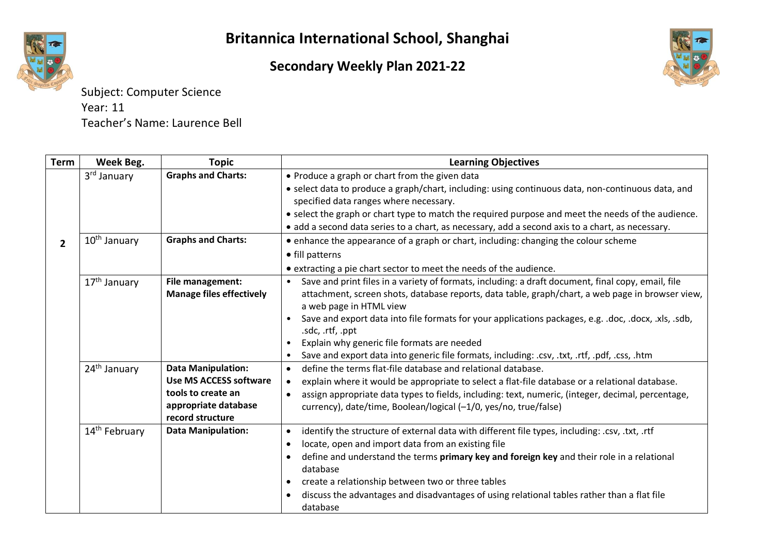

#### **Secondary Weekly Plan 2021-22**



Subject: Computer Science Year: 11 Teacher's Name: Laurence Bell

| <b>Term</b>    | Week Beg.                 | <b>Topic</b>                             | <b>Learning Objectives</b>                                                                                           |
|----------------|---------------------------|------------------------------------------|----------------------------------------------------------------------------------------------------------------------|
|                | 3 <sup>rd</sup> January   | <b>Graphs and Charts:</b>                | • Produce a graph or chart from the given data                                                                       |
|                |                           |                                          | • select data to produce a graph/chart, including: using continuous data, non-continuous data, and                   |
|                |                           |                                          | specified data ranges where necessary.                                                                               |
|                |                           |                                          | • select the graph or chart type to match the required purpose and meet the needs of the audience.                   |
|                |                           |                                          | • add a second data series to a chart, as necessary, add a second axis to a chart, as necessary.                     |
| $\overline{2}$ | 10 <sup>th</sup> January  | <b>Graphs and Charts:</b>                | • enhance the appearance of a graph or chart, including: changing the colour scheme                                  |
|                |                           |                                          | • fill patterns                                                                                                      |
|                |                           |                                          | • extracting a pie chart sector to meet the needs of the audience.                                                   |
|                | 17 <sup>th</sup> January  | File management:                         | Save and print files in a variety of formats, including: a draft document, final copy, email, file<br>$\bullet$      |
|                |                           | <b>Manage files effectively</b>          | attachment, screen shots, database reports, data table, graph/chart, a web page in browser view,                     |
|                |                           |                                          | a web page in HTML view                                                                                              |
|                |                           |                                          | Save and export data into file formats for your applications packages, e.g. .doc, .docx, .xls, .sdb,<br>$\bullet$    |
|                |                           |                                          | .sdc, .rtf, .ppt                                                                                                     |
|                |                           |                                          | Explain why generic file formats are needed<br>٠                                                                     |
|                |                           |                                          | Save and export data into generic file formats, including: .csv, .txt, .rtf, .pdf, .css, .htm                        |
|                | 24 <sup>th</sup> January  | <b>Data Manipulation:</b>                | define the terms flat-file database and relational database.<br>$\bullet$                                            |
|                |                           | <b>Use MS ACCESS software</b>            | explain where it would be appropriate to select a flat-file database or a relational database.<br>$\bullet$          |
|                |                           | tools to create an                       | assign appropriate data types to fields, including: text, numeric, (integer, decimal, percentage,<br>$\bullet$       |
|                |                           | appropriate database<br>record structure | currency), date/time, Boolean/logical (-1/0, yes/no, true/false)                                                     |
|                |                           | <b>Data Manipulation:</b>                |                                                                                                                      |
|                | 14 <sup>th</sup> February |                                          | identify the structure of external data with different file types, including: .csv, .txt, .rtf<br>$\bullet$          |
|                |                           |                                          | locate, open and import data from an existing file<br>$\bullet$                                                      |
|                |                           |                                          | define and understand the terms primary key and foreign key and their role in a relational<br>$\bullet$<br>database  |
|                |                           |                                          | create a relationship between two or three tables<br>$\bullet$                                                       |
|                |                           |                                          | discuss the advantages and disadvantages of using relational tables rather than a flat file<br>$\bullet$<br>database |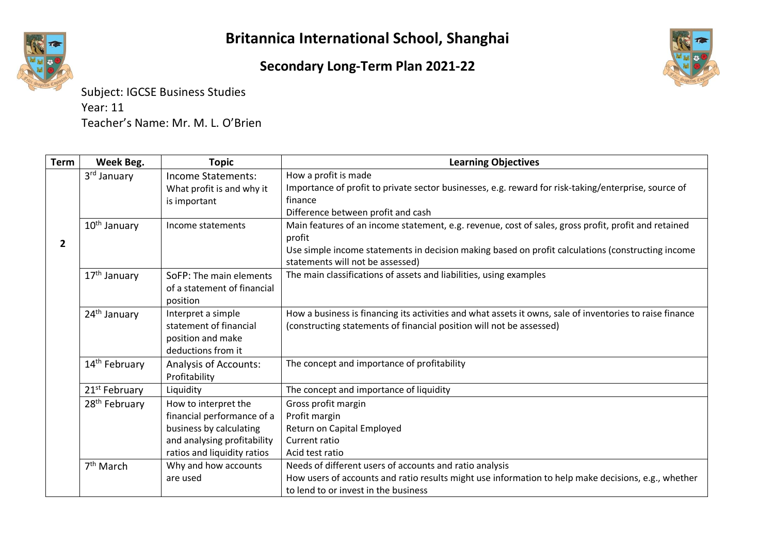#### **Secondary Long-Term Plan 2021-22**



Subject: IGCSE Business Studies Year: 11 Teacher's Name: Mr. M. L. O'Brien

| Term           | Week Beg.                 | <b>Topic</b>                                  | <b>Learning Objectives</b>                                                                                                            |
|----------------|---------------------------|-----------------------------------------------|---------------------------------------------------------------------------------------------------------------------------------------|
|                | 3 <sup>rd</sup> January   | Income Statements:                            | How a profit is made                                                                                                                  |
|                |                           | What profit is and why it                     | Importance of profit to private sector businesses, e.g. reward for risk-taking/enterprise, source of<br>finance                       |
|                |                           | is important                                  | Difference between profit and cash                                                                                                    |
|                | 10 <sup>th</sup> January  | Income statements                             | Main features of an income statement, e.g. revenue, cost of sales, gross profit, profit and retained                                  |
|                |                           |                                               | profit                                                                                                                                |
| $\overline{2}$ |                           |                                               | Use simple income statements in decision making based on profit calculations (constructing income<br>statements will not be assessed) |
|                | 17 <sup>th</sup> January  | SoFP: The main elements                       | The main classifications of assets and liabilities, using examples                                                                    |
|                |                           | of a statement of financial                   |                                                                                                                                       |
|                |                           | position                                      |                                                                                                                                       |
|                | 24 <sup>th</sup> January  | Interpret a simple                            | How a business is financing its activities and what assets it owns, sale of inventories to raise finance                              |
|                |                           | statement of financial                        | (constructing statements of financial position will not be assessed)                                                                  |
|                |                           | position and make                             |                                                                                                                                       |
|                |                           | deductions from it                            |                                                                                                                                       |
|                | 14 <sup>th</sup> February | <b>Analysis of Accounts:</b><br>Profitability | The concept and importance of profitability                                                                                           |
|                | 21 <sup>st</sup> February | Liquidity                                     | The concept and importance of liquidity                                                                                               |
|                | 28 <sup>th</sup> February | How to interpret the                          | Gross profit margin                                                                                                                   |
|                |                           | financial performance of a                    | Profit margin                                                                                                                         |
|                |                           | business by calculating                       | Return on Capital Employed                                                                                                            |
|                |                           | and analysing profitability                   | Current ratio                                                                                                                         |
|                |                           | ratios and liquidity ratios                   | Acid test ratio                                                                                                                       |
|                | $7th$ March               | Why and how accounts                          | Needs of different users of accounts and ratio analysis                                                                               |
|                |                           | are used                                      | How users of accounts and ratio results might use information to help make decisions, e.g., whether                                   |
|                |                           |                                               | to lend to or invest in the business                                                                                                  |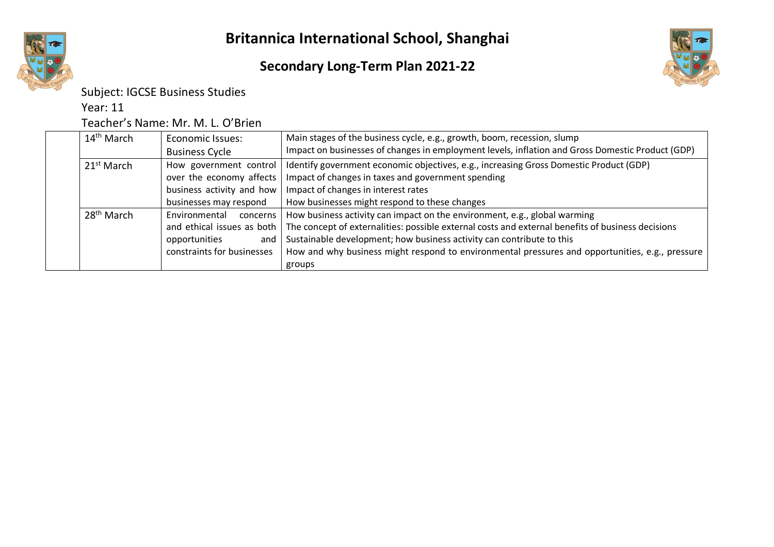



#### Subject: IGCSE Business Studies

Year: 11

#### Teacher's Name: Mr. M. L. O'Brien

| 14 <sup>th</sup> March | <b>Economic Issues:</b>    | Main stages of the business cycle, e.g., growth, boom, recession, slump                           |
|------------------------|----------------------------|---------------------------------------------------------------------------------------------------|
|                        | <b>Business Cycle</b>      | Impact on businesses of changes in employment levels, inflation and Gross Domestic Product (GDP)  |
| 21 <sup>st</sup> March | How government control     | Identify government economic objectives, e.g., increasing Gross Domestic Product (GDP)            |
|                        | over the economy affects   | Impact of changes in taxes and government spending                                                |
|                        | business activity and how  | Impact of changes in interest rates                                                               |
|                        | businesses may respond     | How businesses might respond to these changes                                                     |
| 28 <sup>th</sup> March | Environmental<br>concerns  | How business activity can impact on the environment, e.g., global warming                         |
|                        | and ethical issues as both | The concept of externalities: possible external costs and external benefits of business decisions |
|                        | opportunities<br>and       | Sustainable development; how business activity can contribute to this                             |
|                        | constraints for businesses | How and why business might respond to environmental pressures and opportunities, e.g., pressure   |
|                        |                            | groups                                                                                            |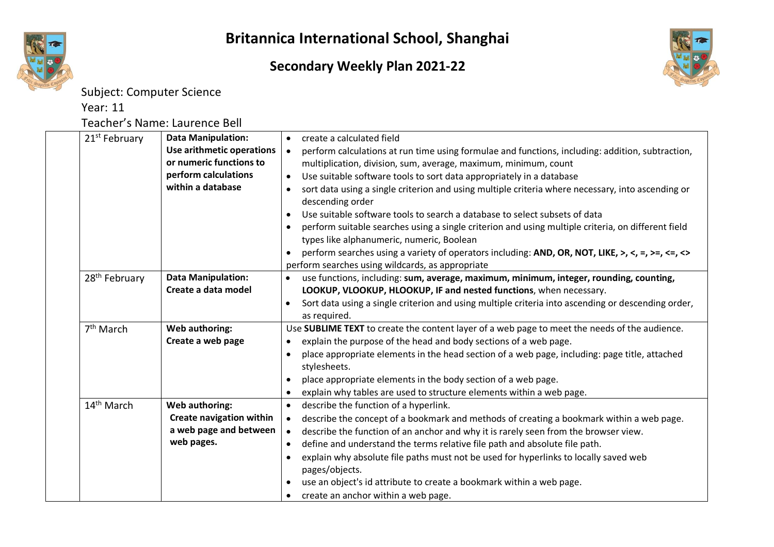**Secondary Weekly Plan 2021-22**



Subject: Computer Science

Year: 11

Teacher's Name: Laurence Bell

| 21 <sup>st</sup> February | <b>Data Manipulation:</b>       | create a calculated field<br>$\bullet$                                                                          |
|---------------------------|---------------------------------|-----------------------------------------------------------------------------------------------------------------|
|                           | Use arithmetic operations       | perform calculations at run time using formulae and functions, including: addition, subtraction,<br>$\bullet$   |
|                           | or numeric functions to         | multiplication, division, sum, average, maximum, minimum, count                                                 |
|                           | perform calculations            | Use suitable software tools to sort data appropriately in a database<br>$\bullet$                               |
|                           | within a database               | sort data using a single criterion and using multiple criteria where necessary, into ascending or<br>$\bullet$  |
|                           |                                 | descending order                                                                                                |
|                           |                                 | Use suitable software tools to search a database to select subsets of data<br>$\bullet$                         |
|                           |                                 | perform suitable searches using a single criterion and using multiple criteria, on different field<br>$\bullet$ |
|                           |                                 | types like alphanumeric, numeric, Boolean                                                                       |
|                           |                                 | perform searches using a variety of operators including: AND, OR, NOT, LIKE, >, <, =, >=, <=, <><br>$\bullet$   |
|                           |                                 | perform searches using wildcards, as appropriate                                                                |
| 28 <sup>th</sup> February | <b>Data Manipulation:</b>       | use functions, including: sum, average, maximum, minimum, integer, rounding, counting,                          |
|                           | Create a data model             | LOOKUP, VLOOKUP, HLOOKUP, IF and nested functions, when necessary.                                              |
|                           |                                 | Sort data using a single criterion and using multiple criteria into ascending or descending order,<br>$\bullet$ |
|                           |                                 | as required.                                                                                                    |
| 7 <sup>th</sup> March     | <b>Web authoring:</b>           | Use SUBLIME TEXT to create the content layer of a web page to meet the needs of the audience.                   |
|                           | Create a web page               | explain the purpose of the head and body sections of a web page.<br>$\bullet$                                   |
|                           |                                 | place appropriate elements in the head section of a web page, including: page title, attached<br>$\bullet$      |
|                           |                                 | stylesheets.                                                                                                    |
|                           |                                 | place appropriate elements in the body section of a web page.<br>$\bullet$                                      |
|                           |                                 | explain why tables are used to structure elements within a web page.<br>$\bullet$                               |
| 14 <sup>th</sup> March    | <b>Web authoring:</b>           | describe the function of a hyperlink.<br>$\bullet$                                                              |
|                           | <b>Create navigation within</b> | describe the concept of a bookmark and methods of creating a bookmark within a web page.<br>$\bullet$           |
|                           | a web page and between          | describe the function of an anchor and why it is rarely seen from the browser view.<br>$\bullet$                |
|                           | web pages.                      | define and understand the terms relative file path and absolute file path.<br>$\bullet$                         |
|                           |                                 | explain why absolute file paths must not be used for hyperlinks to locally saved web<br>$\bullet$               |
|                           |                                 | pages/objects.                                                                                                  |
|                           |                                 | use an object's id attribute to create a bookmark within a web page.<br>$\bullet$                               |
|                           |                                 | create an anchor within a web page.                                                                             |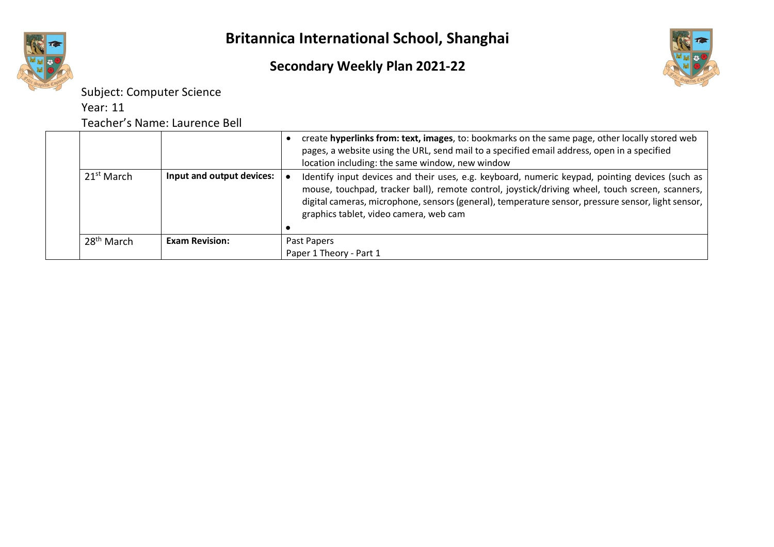#### **Secondary Weekly Plan 2021-22**



Subject: Computer Science

Year: 11

Teacher's Name: Laurence Bell

| 21 <sup>st</sup> March | Input and output devices: | create hyperlinks from: text, images, to: bookmarks on the same page, other locally stored web<br>pages, a website using the URL, send mail to a specified email address, open in a specified<br>location including: the same window, new window<br>Identify input devices and their uses, e.g. keyboard, numeric keypad, pointing devices (such as |
|------------------------|---------------------------|-----------------------------------------------------------------------------------------------------------------------------------------------------------------------------------------------------------------------------------------------------------------------------------------------------------------------------------------------------|
|                        |                           | mouse, touchpad, tracker ball), remote control, joystick/driving wheel, touch screen, scanners,<br>digital cameras, microphone, sensors (general), temperature sensor, pressure sensor, light sensor,  <br>graphics tablet, video camera, web cam                                                                                                   |
| $28th$ March           | <b>Exam Revision:</b>     | Past Papers                                                                                                                                                                                                                                                                                                                                         |
|                        |                           | Paper 1 Theory - Part 1                                                                                                                                                                                                                                                                                                                             |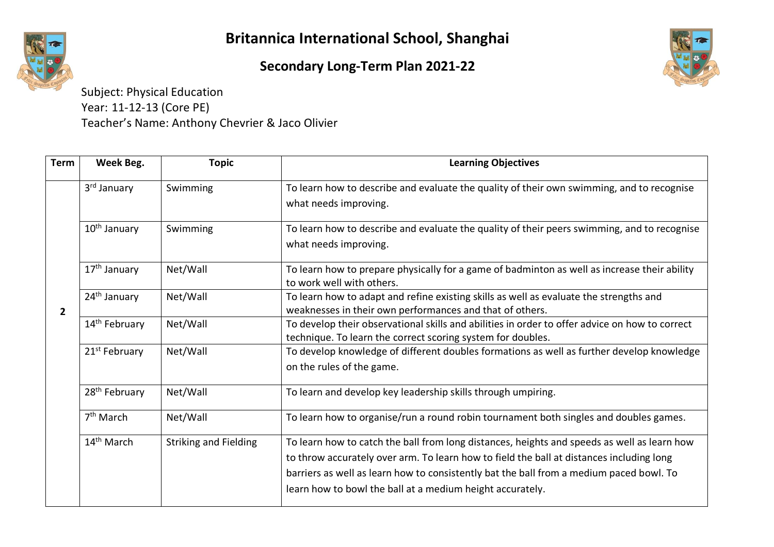

## **Secondary Long-Term Plan 2021-22**



Subject: Physical Education Year: 11-12-13 (Core PE) Teacher's Name: Anthony Chevrier & Jaco Olivier

| <b>Term</b>    | Week Beg.                 | <b>Topic</b>                 | <b>Learning Objectives</b>                                                                                                                                                                                                                                                                                                                      |
|----------------|---------------------------|------------------------------|-------------------------------------------------------------------------------------------------------------------------------------------------------------------------------------------------------------------------------------------------------------------------------------------------------------------------------------------------|
| $\overline{2}$ | 3rd January               | Swimming                     | To learn how to describe and evaluate the quality of their own swimming, and to recognise<br>what needs improving.                                                                                                                                                                                                                              |
|                | 10 <sup>th</sup> January  | Swimming                     | To learn how to describe and evaluate the quality of their peers swimming, and to recognise<br>what needs improving.                                                                                                                                                                                                                            |
|                | 17 <sup>th</sup> January  | Net/Wall                     | To learn how to prepare physically for a game of badminton as well as increase their ability<br>to work well with others.                                                                                                                                                                                                                       |
|                | 24 <sup>th</sup> January  | Net/Wall                     | To learn how to adapt and refine existing skills as well as evaluate the strengths and<br>weaknesses in their own performances and that of others.                                                                                                                                                                                              |
|                | 14 <sup>th</sup> February | Net/Wall                     | To develop their observational skills and abilities in order to offer advice on how to correct<br>technique. To learn the correct scoring system for doubles.                                                                                                                                                                                   |
|                | 21 <sup>st</sup> February | Net/Wall                     | To develop knowledge of different doubles formations as well as further develop knowledge<br>on the rules of the game.                                                                                                                                                                                                                          |
|                | 28 <sup>th</sup> February | Net/Wall                     | To learn and develop key leadership skills through umpiring.                                                                                                                                                                                                                                                                                    |
|                | 7 <sup>th</sup> March     | Net/Wall                     | To learn how to organise/run a round robin tournament both singles and doubles games.                                                                                                                                                                                                                                                           |
|                | 14 <sup>th</sup> March    | <b>Striking and Fielding</b> | To learn how to catch the ball from long distances, heights and speeds as well as learn how<br>to throw accurately over arm. To learn how to field the ball at distances including long<br>barriers as well as learn how to consistently bat the ball from a medium paced bowl. To<br>learn how to bowl the ball at a medium height accurately. |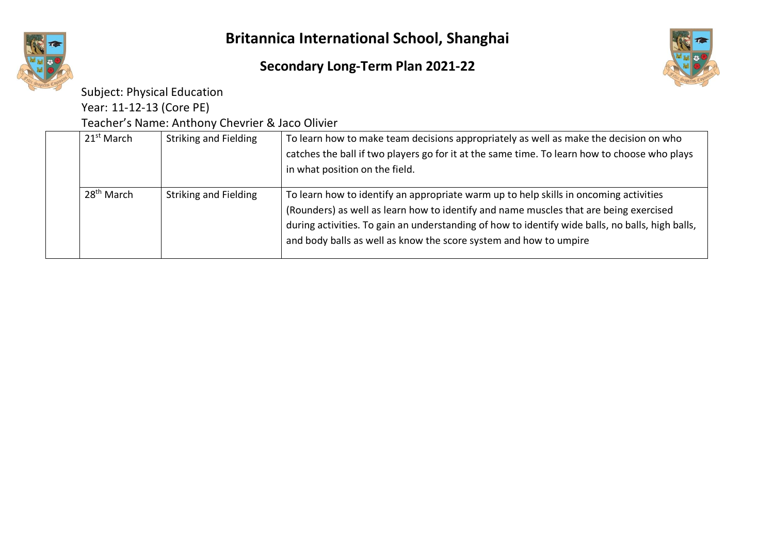



Subject: Physical Education

Year: 11-12-13 (Core PE)

Teacher's Name: Anthony Chevrier & Jaco Olivier

| 21 <sup>st</sup> March | <b>Striking and Fielding</b> | To learn how to make team decisions appropriately as well as make the decision on who<br>catches the ball if two players go for it at the same time. To learn how to choose who plays<br>in what position on the field.                                                                                                                                 |
|------------------------|------------------------------|---------------------------------------------------------------------------------------------------------------------------------------------------------------------------------------------------------------------------------------------------------------------------------------------------------------------------------------------------------|
| 28 <sup>th</sup> March | <b>Striking and Fielding</b> | To learn how to identify an appropriate warm up to help skills in oncoming activities<br>(Rounders) as well as learn how to identify and name muscles that are being exercised<br>during activities. To gain an understanding of how to identify wide balls, no balls, high balls,<br>and body balls as well as know the score system and how to umpire |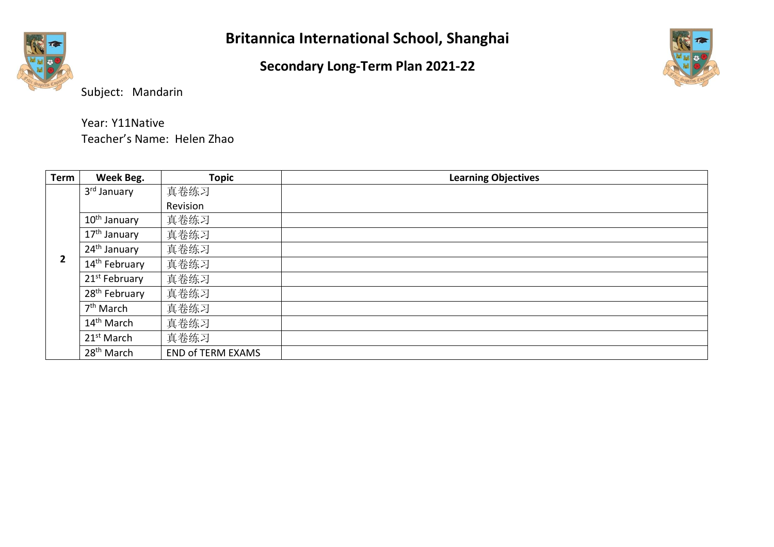#### **Secondary Long-Term Plan 2021-22**



Subject: Mandarin

Year: Y11Native

| <b>Term</b> | Week Beg.                 | <b>Topic</b>             | <b>Learning Objectives</b> |
|-------------|---------------------------|--------------------------|----------------------------|
|             | 3 <sup>rd</sup> January   | 真卷练习                     |                            |
|             |                           | Revision                 |                            |
|             | 10 <sup>th</sup> January  | 真卷练习                     |                            |
|             | 17 <sup>th</sup> January  | 真卷练习                     |                            |
| 2           | 24 <sup>th</sup> January  | 真卷练习                     |                            |
|             | 14 <sup>th</sup> February | 真卷练习                     |                            |
|             | 21 <sup>st</sup> February | 真卷练习                     |                            |
|             | 28 <sup>th</sup> February | 真卷练习                     |                            |
|             | 7 <sup>th</sup> March     | 真卷练习                     |                            |
|             | 14 <sup>th</sup> March    | 真卷练习                     |                            |
|             | 21 <sup>st</sup> March    | 真卷练习                     |                            |
|             | 28 <sup>th</sup> March    | <b>END of TERM EXAMS</b> |                            |

Teacher's Name: Helen Zhao